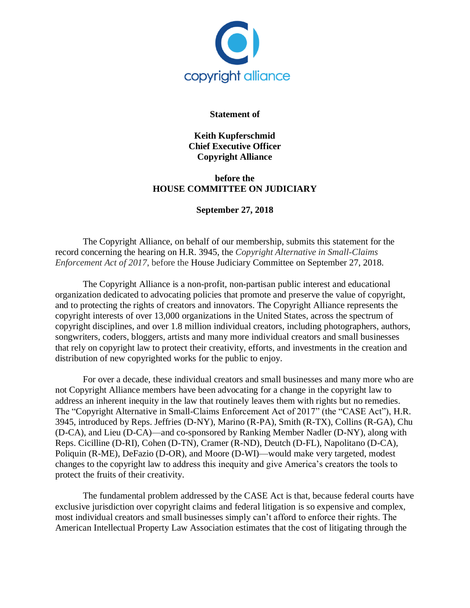

## **Statement of**

**Keith Kupferschmid Chief Executive Officer Copyright Alliance**

## **before the HOUSE COMMITTEE ON JUDICIARY**

## **September 27, 2018**

The Copyright Alliance, on behalf of our membership, submits this statement for the record concerning the hearing on H.R. 3945, the *Copyright Alternative in Small-Claims Enforcement Act of 2017*, before the House Judiciary Committee on September 27, 2018.

The Copyright Alliance is a non-profit, non-partisan public interest and educational organization dedicated to advocating policies that promote and preserve the value of copyright, and to protecting the rights of creators and innovators. The Copyright Alliance represents the copyright interests of over 13,000 organizations in the United States, across the spectrum of copyright disciplines, and over 1.8 million individual creators, including photographers, authors, songwriters, coders, bloggers, artists and many more individual creators and small businesses that rely on copyright law to protect their creativity, efforts, and investments in the creation and distribution of new copyrighted works for the public to enjoy.

For over a decade, these individual creators and small businesses and many more who are not Copyright Alliance members have been advocating for a change in the copyright law to address an inherent inequity in the law that routinely leaves them with rights but no remedies. The "Copyright Alternative in Small-Claims Enforcement Act of 2017" (the "CASE Act"), H.R. 3945, introduced by Reps. Jeffries (D-NY), Marino (R-PA), Smith (R-TX), Collins (R-GA), Chu (D-CA), and Lieu (D-CA)—and co-sponsored by Ranking Member Nadler (D-NY), along with Reps. Cicilline (D-RI), Cohen (D-TN), Cramer (R-ND), Deutch (D-FL), Napolitano (D-CA), Poliquin (R-ME), DeFazio (D-OR), and Moore (D-WI)—would make very targeted, modest changes to the copyright law to address this inequity and give America's creators the tools to protect the fruits of their creativity.

The fundamental problem addressed by the CASE Act is that, because federal courts have exclusive jurisdiction over copyright claims and federal litigation is so expensive and complex, most individual creators and small businesses simply can't afford to enforce their rights. The American Intellectual Property Law Association estimates that the cost of litigating through the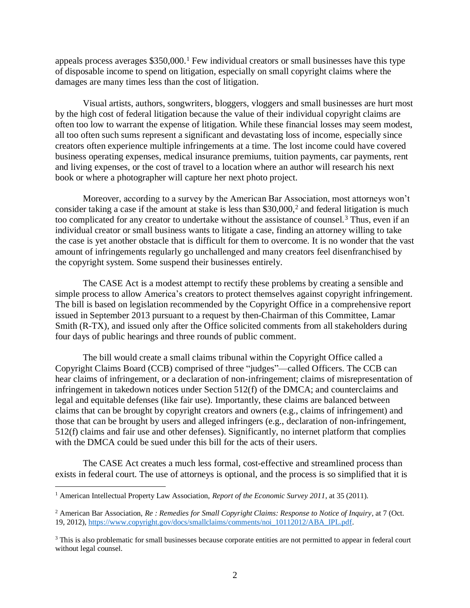appeals process averages  $$350,000$ .<sup>1</sup> Few individual creators or small businesses have this type of disposable income to spend on litigation, especially on small copyright claims where the damages are many times less than the cost of litigation.

Visual artists, authors, songwriters, bloggers, vloggers and small businesses are hurt most by the high cost of federal litigation because the value of their individual copyright claims are often too low to warrant the expense of litigation. While these financial losses may seem modest, all too often such sums represent a significant and devastating loss of income, especially since creators often experience multiple infringements at a time. The lost income could have covered business operating expenses, medical insurance premiums, tuition payments, car payments, rent and living expenses, or the cost of travel to a location where an author will research his next book or where a photographer will capture her next photo project.

Moreover, according to a survey by the American Bar Association, most attorneys won't consider taking a case if the amount at stake is less than  $$30,000$ <sup>2</sup> and federal litigation is much too complicated for any creator to undertake without the assistance of counsel.<sup>3</sup> Thus, even if an individual creator or small business wants to litigate a case, finding an attorney willing to take the case is yet another obstacle that is difficult for them to overcome. It is no wonder that the vast amount of infringements regularly go unchallenged and many creators feel disenfranchised by the copyright system. Some suspend their businesses entirely.

The CASE Act is a modest attempt to rectify these problems by creating a sensible and simple process to allow America's creators to protect themselves against copyright infringement. The bill is based on legislation recommended by the Copyright Office in a comprehensive report issued in September 2013 pursuant to a request by then-Chairman of this Committee, Lamar Smith (R-TX), and issued only after the Office solicited comments from all stakeholders during four days of public hearings and three rounds of public comment.

The bill would create a small claims tribunal within the Copyright Office called a Copyright Claims Board (CCB) comprised of three "judges"—called Officers. The CCB can hear claims of infringement, or a declaration of non-infringement; claims of misrepresentation of infringement in takedown notices under Section 512(f) of the DMCA; and counterclaims and legal and equitable defenses (like fair use). Importantly, these claims are balanced between claims that can be brought by copyright creators and owners (e.g., claims of infringement) and those that can be brought by users and alleged infringers (e.g., declaration of non-infringement, 512(f) claims and fair use and other defenses). Significantly, no internet platform that complies with the DMCA could be sued under this bill for the acts of their users.

The CASE Act creates a much less formal, cost-effective and streamlined process than exists in federal court. The use of attorneys is optional, and the process is so simplified that it is

 $\overline{a}$ 

<sup>1</sup> American Intellectual Property Law Association, *Report of the Economic Survey 2011*, at 35 (2011).

<sup>2</sup> American Bar Association, *Re : Remedies for Small Copyright Claims: Response to Notice of Inquiry*, at 7 (Oct. 19, 2012), [https://www.copyright.gov/docs/smallclaims/comments/noi\\_10112012/ABA\\_IPL.pdf.](https://www.copyright.gov/docs/smallclaims/comments/noi_10112012/ABA_IPL.pdf)

<sup>&</sup>lt;sup>3</sup> This is also problematic for small businesses because corporate entities are not permitted to appear in federal court without legal counsel.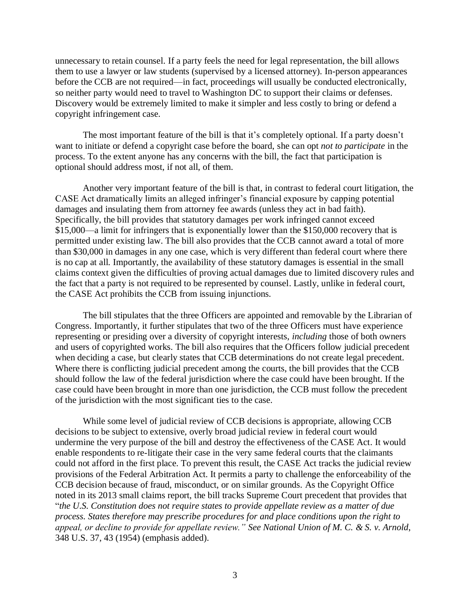unnecessary to retain counsel. If a party feels the need for legal representation, the bill allows them to use a lawyer or law students (supervised by a licensed attorney). In-person appearances before the CCB are not required—in fact, proceedings will usually be conducted electronically, so neither party would need to travel to Washington DC to support their claims or defenses. Discovery would be extremely limited to make it simpler and less costly to bring or defend a copyright infringement case.

The most important feature of the bill is that it's completely optional. If a party doesn't want to initiate or defend a copyright case before the board, she can opt *not to participate* in the process. To the extent anyone has any concerns with the bill, the fact that participation is optional should address most, if not all, of them.

Another very important feature of the bill is that, in contrast to federal court litigation, the CASE Act dramatically limits an alleged infringer's financial exposure by capping potential damages and insulating them from attorney fee awards (unless they act in bad faith). Specifically, the bill provides that statutory damages per work infringed cannot exceed \$15,000—a limit for infringers that is exponentially lower than the \$150,000 recovery that is permitted under existing law. The bill also provides that the CCB cannot award a total of more than \$30,000 in damages in any one case, which is very different than federal court where there is no cap at all. Importantly, the availability of these statutory damages is essential in the small claims context given the difficulties of proving actual damages due to limited discovery rules and the fact that a party is not required to be represented by counsel. Lastly, unlike in federal court, the CASE Act prohibits the CCB from issuing injunctions.

The bill stipulates that the three Officers are appointed and removable by the Librarian of Congress. Importantly, it further stipulates that two of the three Officers must have experience representing or presiding over a diversity of copyright interests, *including* those of both owners and users of copyrighted works. The bill also requires that the Officers follow judicial precedent when deciding a case, but clearly states that CCB determinations do not create legal precedent. Where there is conflicting judicial precedent among the courts, the bill provides that the CCB should follow the law of the federal jurisdiction where the case could have been brought. If the case could have been brought in more than one jurisdiction, the CCB must follow the precedent of the jurisdiction with the most significant ties to the case.

While some level of judicial review of CCB decisions is appropriate, allowing CCB decisions to be subject to extensive, overly broad judicial review in federal court would undermine the very purpose of the bill and destroy the effectiveness of the CASE Act. It would enable respondents to re-litigate their case in the very same federal courts that the claimants could not afford in the first place. To prevent this result, the CASE Act tracks the judicial review provisions of the Federal Arbitration Act. It permits a party to challenge the enforceability of the CCB decision because of fraud, misconduct, or on similar grounds. As the Copyright Office noted in its 2013 small claims report, the bill tracks Supreme Court precedent that provides that "*the U.S. Constitution does not require states to provide appellate review as a matter of due process. States therefore may prescribe procedures for and place conditions upon the right to appeal, or decline to provide for appellate review." See National Union of M. C. & S. v. Arnold*, 348 U.S. 37, 43 (1954) (emphasis added).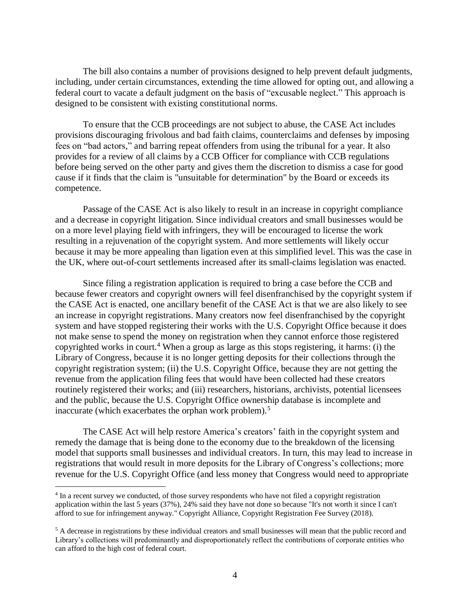The bill also contains a number of provisions designed to help prevent default judgments, including, under certain circumstances, extending the time allowed for opting out, and allowing a federal court to vacate a default judgment on the basis of "excusable neglect." This approach is designed to be consistent with existing constitutional norms.

To ensure that the CCB proceedings are not subject to abuse, the CASE Act includes provisions discouraging frivolous and bad faith claims, counterclaims and defenses by imposing fees on "bad actors," and barring repeat offenders from using the tribunal for a year. It also provides for a review of all claims by a CCB Officer for compliance with CCB regulations before being served on the other party and gives them the discretion to dismiss a case for good cause if it finds that the claim is "unsuitable for determination" by the Board or exceeds its competence.

Passage of the CASE Act is also likely to result in an increase in copyright compliance and a decrease in copyright litigation. Since individual creators and small businesses would be on a more level playing field with infringers, they will be encouraged to license the work resulting in a rejuvenation of the copyright system. And more settlements will likely occur because it may be more appealing than ligation even at this simplified level. This was the case in the UK, where out-of-court settlements increased after its small-claims legislation was enacted.

Since filing a registration application is required to bring a case before the CCB and because fewer creators and copyright owners will feel disenfranchised by the copyright system if the CASE Act is enacted, one ancillary benefit of the CASE Act is that we are also likely to see an increase in copyright registrations. Many creators now feel disenfranchised by the copyright system and have stopped registering their works with the U.S. Copyright Office because it does not make sense to spend the money on registration when they cannot enforce those registered copyrighted works in court.<sup>4</sup> When a group as large as this stops registering, it harms: (i) the Library of Congress, because it is no longer getting deposits for their collections through the copyright registration system; (ii) the U.S. Copyright Office, because they are not getting the revenue from the application filing fees that would have been collected had these creators routinely registered their works; and (iii) researchers, historians, archivists, potential licensees and the public, because the U.S. Copyright Office ownership database is incomplete and inaccurate (which exacerbates the orphan work problem).<sup>5</sup>

The CASE Act will help restore America's creators' faith in the copyright system and remedy the damage that is being done to the economy due to the breakdown of the licensing model that supports small businesses and individual creators. In turn, this may lead to increase in registrations that would result in more deposits for the Library of Congress's collections; more revenue for the U.S. Copyright Office (and less money that Congress would need to appropriate

 $\overline{a}$ 

<sup>&</sup>lt;sup>4</sup> In a recent survey we conducted, of those survey respondents who have not filed a copyright registration application within the last 5 years (37%), 24% said they have not done so because "It's not worth it since I can't afford to sue for infringement anyway." Copyright Alliance, Copyright Registration Fee Survey (2018).

<sup>5</sup> A decrease in registrations by these individual creators and small businesses will mean that the public record and Library's collections will predominantly and disproportionately reflect the contributions of corporate entities who can afford to the high cost of federal court.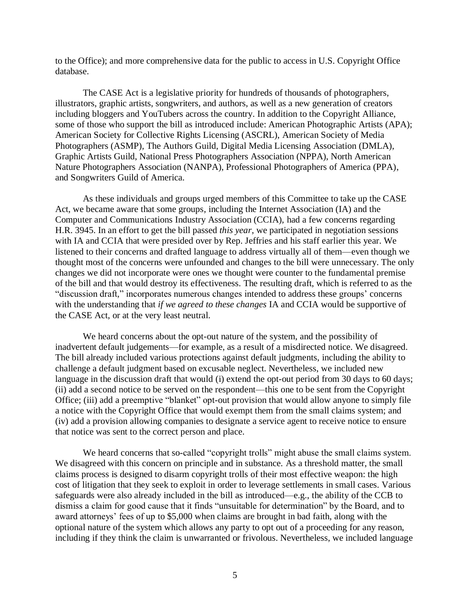to the Office); and more comprehensive data for the public to access in U.S. Copyright Office database.

The CASE Act is a legislative priority for hundreds of thousands of photographers, illustrators, graphic artists, songwriters, and authors, as well as a new generation of creators including bloggers and YouTubers across the country. In addition to the Copyright Alliance, some of those who support the bill as introduced include: American Photographic Artists (APA); American Society for Collective Rights Licensing (ASCRL), American Society of Media Photographers (ASMP), The Authors Guild, Digital Media Licensing Association (DMLA), Graphic Artists Guild, National Press Photographers Association (NPPA), North American Nature Photographers Association (NANPA), Professional Photographers of America (PPA), and Songwriters Guild of America.

As these individuals and groups urged members of this Committee to take up the CASE Act, we became aware that some groups, including the Internet Association (IA) and the Computer and Communications Industry Association (CCIA), had a few concerns regarding H.R. 3945. In an effort to get the bill passed *this year*, we participated in negotiation sessions with IA and CCIA that were presided over by Rep. Jeffries and his staff earlier this year. We listened to their concerns and drafted language to address virtually all of them—even though we thought most of the concerns were unfounded and changes to the bill were unnecessary. The only changes we did not incorporate were ones we thought were counter to the fundamental premise of the bill and that would destroy its effectiveness. The resulting draft, which is referred to as the "discussion draft," incorporates numerous changes intended to address these groups' concerns with the understanding that *if we agreed to these changes* IA and CCIA would be supportive of the CASE Act, or at the very least neutral.

We heard concerns about the opt-out nature of the system, and the possibility of inadvertent default judgements—for example, as a result of a misdirected notice. We disagreed. The bill already included various protections against default judgments, including the ability to challenge a default judgment based on excusable neglect. Nevertheless, we included new language in the discussion draft that would (i) extend the opt-out period from 30 days to 60 days; (ii) add a second notice to be served on the respondent—this one to be sent from the Copyright Office; (iii) add a preemptive "blanket" opt-out provision that would allow anyone to simply file a notice with the Copyright Office that would exempt them from the small claims system; and (iv) add a provision allowing companies to designate a service agent to receive notice to ensure that notice was sent to the correct person and place.

We heard concerns that so-called "copyright trolls" might abuse the small claims system. We disagreed with this concern on principle and in substance. As a threshold matter, the small claims process is designed to disarm copyright trolls of their most effective weapon: the high cost of litigation that they seek to exploit in order to leverage settlements in small cases. Various safeguards were also already included in the bill as introduced—e.g., the ability of the CCB to dismiss a claim for good cause that it finds "unsuitable for determination" by the Board, and to award attorneys' fees of up to \$5,000 when claims are brought in bad faith, along with the optional nature of the system which allows any party to opt out of a proceeding for any reason, including if they think the claim is unwarranted or frivolous. Nevertheless, we included language